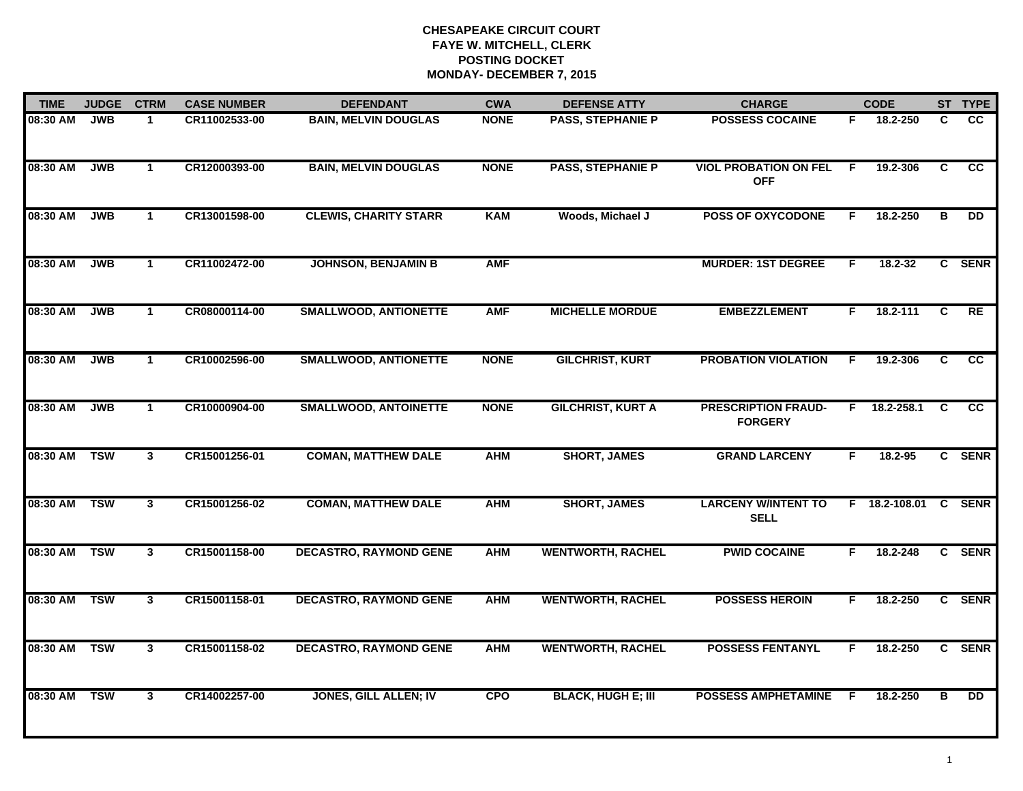| <b>TIME</b> | <b>JUDGE</b> | <b>CTRM</b>             | <b>CASE NUMBER</b> | <b>DEFENDANT</b>              | <b>CWA</b>  | <b>DEFENSE ATTY</b>       | <b>CHARGE</b>                                |    | <b>CODE</b>    |                | ST TYPE         |
|-------------|--------------|-------------------------|--------------------|-------------------------------|-------------|---------------------------|----------------------------------------------|----|----------------|----------------|-----------------|
| 08:30 AM    | <b>JWB</b>   | $\mathbf 1$             | CR11002533-00      | <b>BAIN, MELVIN DOUGLAS</b>   | <b>NONE</b> | <b>PASS, STEPHANIE P</b>  | <b>POSSESS COCAINE</b>                       | F. | 18.2-250       | C.             | cc              |
| 08:30 AM    | <b>JWB</b>   | $\mathbf{1}$            | CR12000393-00      | <b>BAIN, MELVIN DOUGLAS</b>   | <b>NONE</b> | <b>PASS, STEPHANIE P</b>  | <b>VIOL PROBATION ON FEL</b><br><b>OFF</b>   | F. | 19.2-306       | C              | $\overline{cc}$ |
| 08:30 AM    | <b>JWB</b>   | $\mathbf{1}$            | CR13001598-00      | <b>CLEWIS, CHARITY STARR</b>  | <b>KAM</b>  | Woods, Michael J          | <b>POSS OF OXYCODONE</b>                     | F  | 18.2-250       | в              | <b>DD</b>       |
| 08:30 AM    | <b>JWB</b>   | $\mathbf 1$             | CR11002472-00      | <b>JOHNSON, BENJAMIN B</b>    | <b>AMF</b>  |                           | <b>MURDER: 1ST DEGREE</b>                    | F  | $18.2 - 32$    |                | C SENR          |
| 08:30 AM    | <b>JWB</b>   | $\mathbf{1}$            | CR08000114-00      | <b>SMALLWOOD, ANTIONETTE</b>  | <b>AMF</b>  | <b>MICHELLE MORDUE</b>    | <b>EMBEZZLEMENT</b>                          | F. | 18.2-111       | C              | RE              |
| 08:30 AM    | <b>JWB</b>   | $\mathbf{1}$            | CR10002596-00      | <b>SMALLWOOD, ANTIONETTE</b>  | <b>NONE</b> | <b>GILCHRIST, KURT</b>    | <b>PROBATION VIOLATION</b>                   | F. | 19.2-306       | C.             | <b>CC</b>       |
| 08:30 AM    | <b>JWB</b>   | $\overline{1}$          | CR10000904-00      | <b>SMALLWOOD, ANTOINETTE</b>  | <b>NONE</b> | <b>GILCHRIST, KURT A</b>  | <b>PRESCRIPTION FRAUD-</b><br><b>FORGERY</b> |    | $F$ 18.2-258.1 | $\overline{c}$ | $\overline{cc}$ |
| 08:30 AM    | <b>TSW</b>   | $\mathbf{3}$            | CR15001256-01      | <b>COMAN, MATTHEW DALE</b>    | <b>AHM</b>  | <b>SHORT, JAMES</b>       | <b>GRAND LARCENY</b>                         | F  | 18.2-95        |                | C SENR          |
| 08:30 AM    | <b>TSW</b>   | $\mathbf{3}$            | CR15001256-02      | <b>COMAN, MATTHEW DALE</b>    | <b>AHM</b>  | <b>SHORT, JAMES</b>       | <b>LARCENY W/INTENT TO</b><br><b>SELL</b>    |    | F 18.2-108.01  |                | C SENR          |
| 08:30 AM    | <b>TSW</b>   | $\mathbf{3}$            | CR15001158-00      | <b>DECASTRO, RAYMOND GENE</b> | <b>AHM</b>  | <b>WENTWORTH, RACHEL</b>  | <b>PWID COCAINE</b>                          | F. | 18.2-248       |                | C SENR          |
| 08:30 AM    | <b>TSW</b>   | $\mathbf{3}$            | CR15001158-01      | <b>DECASTRO, RAYMOND GENE</b> | <b>AHM</b>  | <b>WENTWORTH, RACHEL</b>  | <b>POSSESS HEROIN</b>                        | F. | 18.2-250       |                | C SENR          |
| 08:30 AM    | <b>TSW</b>   | $\overline{\mathbf{3}}$ | CR15001158-02      | <b>DECASTRO, RAYMOND GENE</b> | <b>AHM</b>  | <b>WENTWORTH, RACHEL</b>  | <b>POSSESS FENTANYL</b>                      | F. | 18.2-250       |                | C SENR          |
| 08:30 AM    | <b>TSW</b>   | $\mathbf{3}$            | CR14002257-00      | <b>JONES, GILL ALLEN; IV</b>  | <b>CPO</b>  | <b>BLACK, HUGH E; III</b> | <b>POSSESS AMPHETAMINE</b>                   | F  | 18.2-250       | в              | $\overline{DD}$ |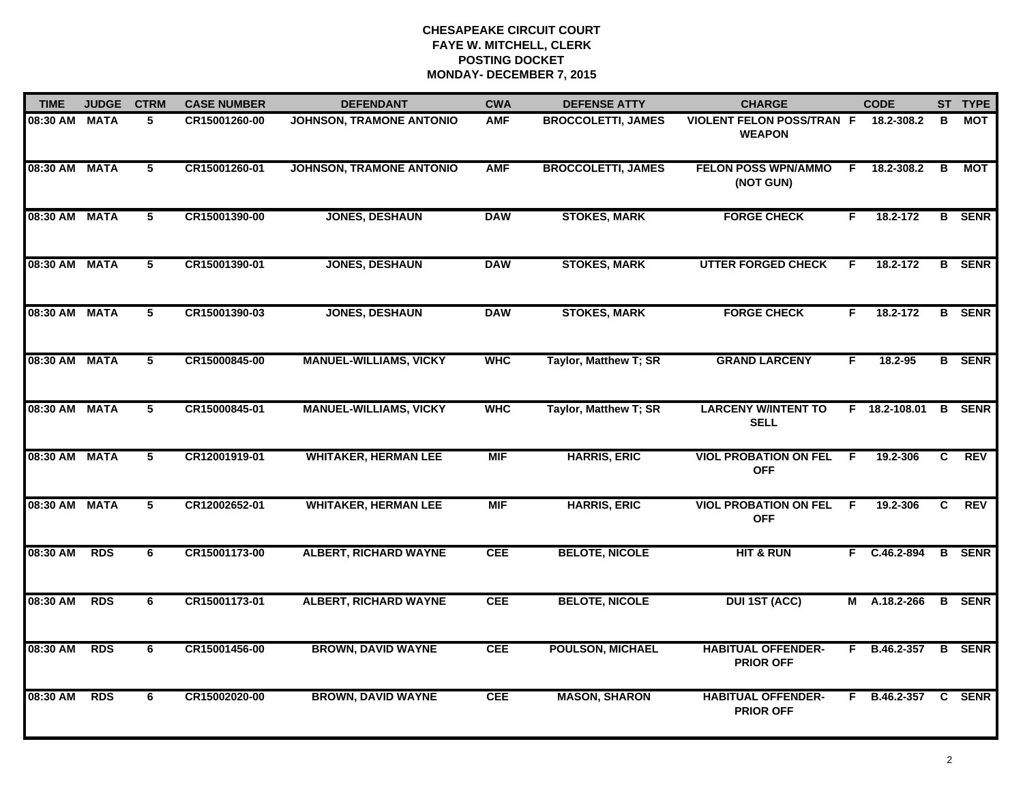| <b>TIME</b>   | <b>JUDGE</b> | <b>CTRM</b>    | <b>CASE NUMBER</b> | <b>DEFENDANT</b>              | <b>CWA</b> | <b>DEFENSE ATTY</b>       | <b>CHARGE</b>                                     |    | <b>CODE</b>          |    | ST TYPE       |
|---------------|--------------|----------------|--------------------|-------------------------------|------------|---------------------------|---------------------------------------------------|----|----------------------|----|---------------|
| 08:30 AM      | <b>MATA</b>  | 5              | CR15001260-00      | JOHNSON, TRAMONE ANTONIO      | <b>AMF</b> | <b>BROCCOLETTI, JAMES</b> | <b>VIOLENT FELON POSS/TRAN F</b><br><b>WEAPON</b> |    | 18.2-308.2           | в  | <b>MOT</b>    |
| 08:30 AM MATA |              | $5^{\circ}$    | CR15001260-01      | JOHNSON, TRAMONE ANTONIO      | <b>AMF</b> | <b>BROCCOLETTI, JAMES</b> | <b>FELON POSS WPN/AMMO</b><br>(NOT GUN)           | F. | 18.2-308.2           | B  | МОТ           |
| 08:30 AM      | <b>MATA</b>  | $\overline{5}$ | CR15001390-00      | <b>JONES, DESHAUN</b>         | <b>DAW</b> | <b>STOKES, MARK</b>       | <b>FORGE CHECK</b>                                | F. | 18.2-172             |    | <b>B</b> SENR |
| 08:30 AM      | <b>MATA</b>  | 5              | CR15001390-01      | <b>JONES, DESHAUN</b>         | <b>DAW</b> | <b>STOKES, MARK</b>       | <b>UTTER FORGED CHECK</b>                         | F. | 18.2-172             |    | <b>B</b> SENR |
| 08:30 AM      | <b>MATA</b>  | 5              | CR15001390-03      | <b>JONES, DESHAUN</b>         | <b>DAW</b> | <b>STOKES, MARK</b>       | <b>FORGE CHECK</b>                                | F. | 18.2-172             |    | <b>B</b> SENR |
| 08:30 AM MATA |              | 5              | CR15000845-00      | <b>MANUEL-WILLIAMS, VICKY</b> | <b>WHC</b> | Taylor, Matthew T; SR     | <b>GRAND LARCENY</b>                              | F. | 18.2-95              |    | <b>B</b> SENR |
| 08:30 AM      | <b>MATA</b>  | 5              | CR15000845-01      | <b>MANUEL-WILLIAMS, VICKY</b> | <b>WHC</b> | Taylor, Matthew T; SR     | <b>LARCENY W/INTENT TO</b><br><b>SELL</b>         |    | F 18.2-108.01 B SENR |    |               |
| 08:30 AM      | <b>MATA</b>  | 5              | CR12001919-01      | <b>WHITAKER, HERMAN LEE</b>   | <b>MIF</b> | <b>HARRIS, ERIC</b>       | <b>VIOL PROBATION ON FEL</b><br><b>OFF</b>        | F. | 19.2-306             | C  | <b>REV</b>    |
| 08:30 AM      | <b>MATA</b>  | 5              | CR12002652-01      | <b>WHITAKER, HERMAN LEE</b>   | <b>MIF</b> | <b>HARRIS, ERIC</b>       | <b>VIOL PROBATION ON FEL</b><br><b>OFF</b>        | F. | 19.2-306             | C. | <b>REV</b>    |
| 08:30 AM      | <b>RDS</b>   | 6              | CR15001173-00      | <b>ALBERT, RICHARD WAYNE</b>  | <b>CEE</b> | <b>BELOTE, NICOLE</b>     | <b>HIT &amp; RUN</b>                              |    | F C.46.2-894         |    | <b>B</b> SENR |
| 08:30 AM      | <b>RDS</b>   | 6              | CR15001173-01      | <b>ALBERT, RICHARD WAYNE</b>  | <b>CEE</b> | <b>BELOTE, NICOLE</b>     | <b>DUI 1ST (ACC)</b>                              |    | M A.18.2-266         |    | <b>B</b> SENR |
| 08:30 AM      | <b>RDS</b>   | 6              | CR15001456-00      | <b>BROWN, DAVID WAYNE</b>     | <b>CEE</b> | <b>POULSON, MICHAEL</b>   | <b>HABITUAL OFFENDER-</b><br><b>PRIOR OFF</b>     |    | F B.46.2-357         |    | <b>B</b> SENR |
| 08:30 AM      | <b>RDS</b>   | 6              | CR15002020-00      | <b>BROWN, DAVID WAYNE</b>     | <b>CEE</b> | <b>MASON, SHARON</b>      | <b>HABITUAL OFFENDER-</b><br><b>PRIOR OFF</b>     |    | F B.46.2-357 C SENR  |    |               |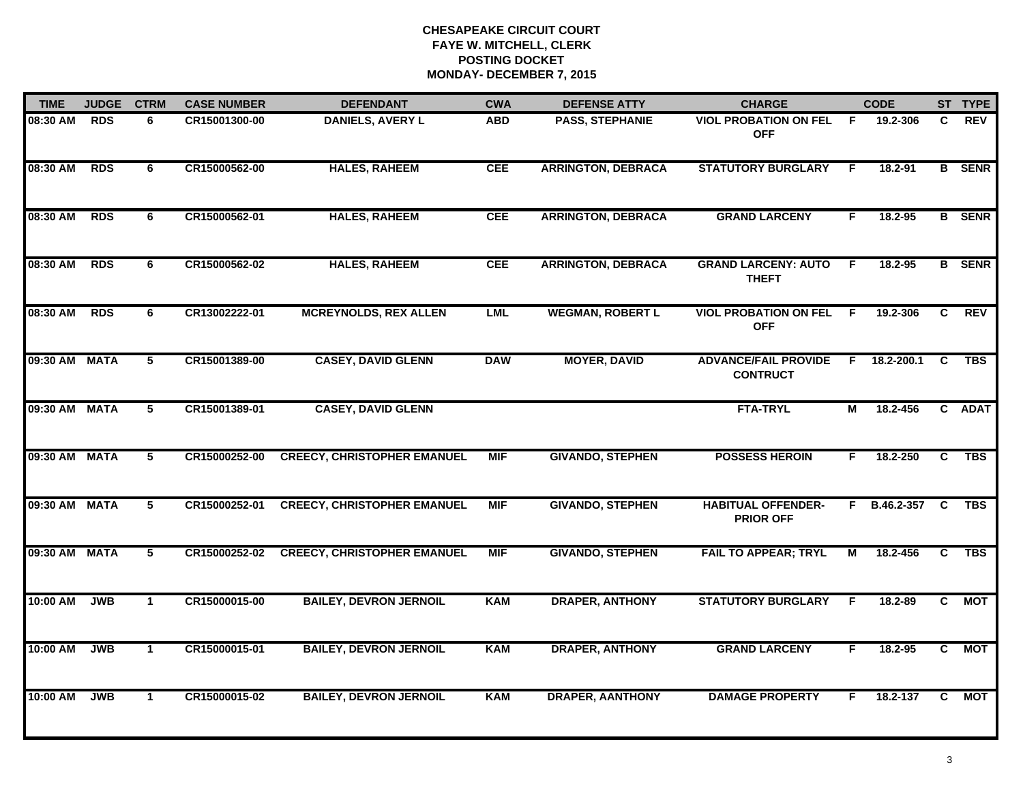| <b>TIME</b>   | <b>JUDGE</b> | <b>CTRM</b>    | <b>CASE NUMBER</b> | <b>DEFENDANT</b>                   | <b>CWA</b> | <b>DEFENSE ATTY</b>       | <b>CHARGE</b>                                  |                | <b>CODE</b> |                | ST TYPE       |
|---------------|--------------|----------------|--------------------|------------------------------------|------------|---------------------------|------------------------------------------------|----------------|-------------|----------------|---------------|
| 08:30 AM      | <b>RDS</b>   | 6              | CR15001300-00      | <b>DANIELS, AVERY L</b>            | <b>ABD</b> | <b>PASS, STEPHANIE</b>    | <b>VIOL PROBATION ON FEL</b><br><b>OFF</b>     | -F.            | 19.2-306    | C              | <b>REV</b>    |
| 08:30 AM      | <b>RDS</b>   | 6              | CR15000562-00      | <b>HALES, RAHEEM</b>               | <b>CEE</b> | <b>ARRINGTON, DEBRACA</b> | <b>STATUTORY BURGLARY</b>                      | F.             | 18.2-91     |                | <b>B</b> SENR |
| 08:30 AM      | <b>RDS</b>   | 6              | CR15000562-01      | <b>HALES, RAHEEM</b>               | <b>CEE</b> | <b>ARRINGTON, DEBRACA</b> | <b>GRAND LARCENY</b>                           | F.             | 18.2-95     |                | <b>B</b> SENR |
| 08:30 AM      | <b>RDS</b>   | 6              | CR15000562-02      | <b>HALES, RAHEEM</b>               | <b>CEE</b> | <b>ARRINGTON, DEBRACA</b> | <b>GRAND LARCENY: AUTO</b><br><b>THEFT</b>     | F.             | 18.2-95     |                | <b>B</b> SENR |
| 08:30 AM      | <b>RDS</b>   | 6              | CR13002222-01      | <b>MCREYNOLDS, REX ALLEN</b>       | <b>LML</b> | <b>WEGMAN, ROBERT L</b>   | <b>VIOL PROBATION ON FEL</b><br><b>OFF</b>     | F.             | 19.2-306    | C.             | <b>REV</b>    |
| 09:30 AM MATA |              | 5              | CR15001389-00      | <b>CASEY, DAVID GLENN</b>          | <b>DAW</b> | <b>MOYER, DAVID</b>       | <b>ADVANCE/FAIL PROVIDE</b><br><b>CONTRUCT</b> | F.             | 18.2-200.1  | C              | <b>TBS</b>    |
| 09:30 AM MATA |              | $\overline{5}$ | CR15001389-01      | <b>CASEY, DAVID GLENN</b>          |            |                           | <b>FTA-TRYL</b>                                | $\overline{M}$ | 18.2-456    |                | C ADAT        |
| 09:30 AM MATA |              | 5              | CR15000252-00      | <b>CREECY, CHRISTOPHER EMANUEL</b> | <b>MIF</b> | <b>GIVANDO, STEPHEN</b>   | <b>POSSESS HEROIN</b>                          | F.             | 18.2-250    | C              | <b>TBS</b>    |
| 09:30 AM MATA |              | 5              | CR15000252-01      | <b>CREECY, CHRISTOPHER EMANUEL</b> | <b>MIF</b> | <b>GIVANDO, STEPHEN</b>   | <b>HABITUAL OFFENDER-</b><br><b>PRIOR OFF</b>  | F.             | B.46.2-357  | <b>C</b>       | <b>TBS</b>    |
| 09:30 AM MATA |              | 5              | CR15000252-02      | <b>CREECY, CHRISTOPHER EMANUEL</b> | <b>MIF</b> | <b>GIVANDO, STEPHEN</b>   | <b>FAIL TO APPEAR; TRYL</b>                    | М              | 18.2-456    | C              | <b>TBS</b>    |
| 10:00 AM      | <b>JWB</b>   | $\mathbf{1}$   | CR15000015-00      | <b>BAILEY, DEVRON JERNOIL</b>      | <b>KAM</b> | <b>DRAPER, ANTHONY</b>    | <b>STATUTORY BURGLARY</b>                      | F.             | 18.2-89     | C              | <b>MOT</b>    |
| 10:00 AM      | <b>JWB</b>   | $\mathbf{1}$   | CR15000015-01      | <b>BAILEY, DEVRON JERNOIL</b>      | <b>KAM</b> | <b>DRAPER, ANTHONY</b>    | <b>GRAND LARCENY</b>                           | F              | 18.2-95     | $\overline{c}$ | <b>MOT</b>    |
| 10:00 AM      | <b>JWB</b>   | $\mathbf{1}$   | CR15000015-02      | <b>BAILEY, DEVRON JERNOIL</b>      | <b>KAM</b> | <b>DRAPER, AANTHONY</b>   | <b>DAMAGE PROPERTY</b>                         | F.             | 18.2-137    | C              | <b>MOT</b>    |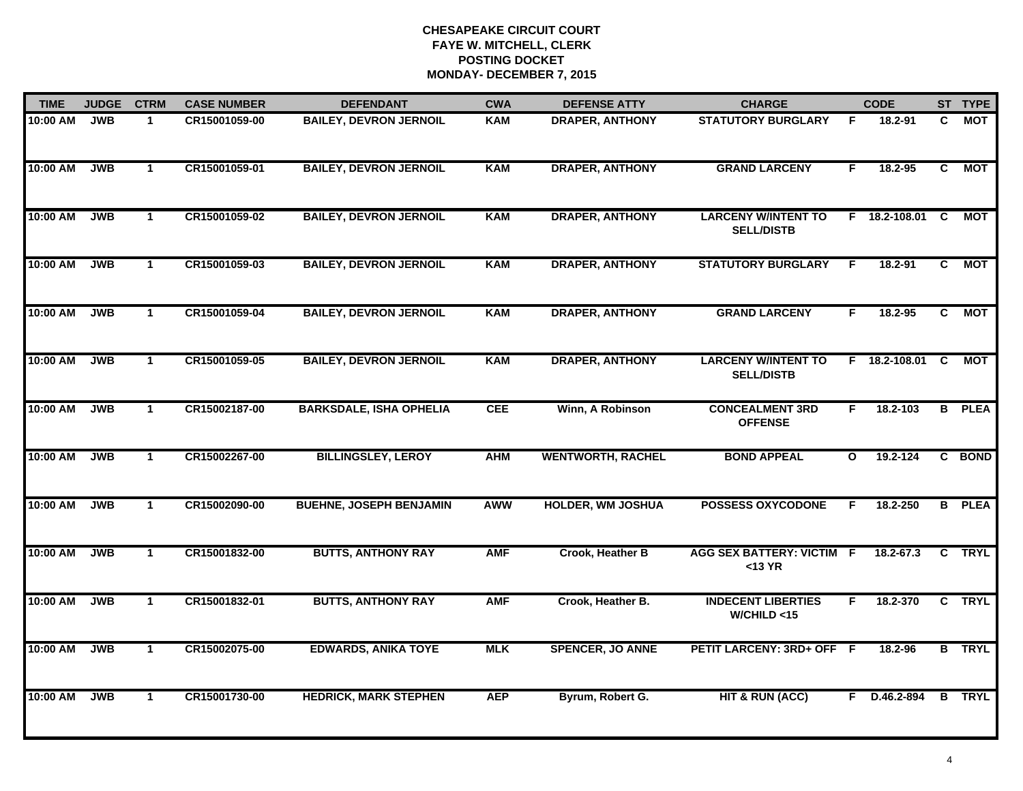| <b>TIME</b> | <b>JUDGE</b> | <b>CTRM</b>  | <b>CASE NUMBER</b> | <b>DEFENDANT</b>               | <b>CWA</b> | <b>DEFENSE ATTY</b>      | <b>CHARGE</b>                                   |              | <b>CODE</b>     |    | ST TYPE       |
|-------------|--------------|--------------|--------------------|--------------------------------|------------|--------------------------|-------------------------------------------------|--------------|-----------------|----|---------------|
| 10:00 AM    | <b>JWB</b>   | $\mathbf{1}$ | CR15001059-00      | <b>BAILEY, DEVRON JERNOIL</b>  | <b>KAM</b> | <b>DRAPER, ANTHONY</b>   | <b>STATUTORY BURGLARY</b>                       | F.           | 18.2-91         | C. | MOT           |
| 10:00 AM    | <b>JWB</b>   | $\mathbf{1}$ | CR15001059-01      | <b>BAILEY, DEVRON JERNOIL</b>  | <b>KAM</b> | <b>DRAPER, ANTHONY</b>   | <b>GRAND LARCENY</b>                            | F            | 18.2-95         | C  | <b>MOT</b>    |
| 10:00 AM    | <b>JWB</b>   | $\mathbf{1}$ | CR15001059-02      | <b>BAILEY, DEVRON JERNOIL</b>  | <b>KAM</b> | <b>DRAPER, ANTHONY</b>   | <b>LARCENY W/INTENT TO</b><br><b>SELL/DISTB</b> |              | $F$ 18.2-108.01 | C  | <b>MOT</b>    |
| 10:00 AM    | <b>JWB</b>   | 1            | CR15001059-03      | <b>BAILEY, DEVRON JERNOIL</b>  | KAM        | <b>DRAPER, ANTHONY</b>   | <b>STATUTORY BURGLARY</b>                       | F            | 18.2-91         | C. | <b>MOT</b>    |
| 10:00 AM    | <b>JWB</b>   | $\mathbf 1$  | CR15001059-04      | <b>BAILEY, DEVRON JERNOIL</b>  | <b>KAM</b> | <b>DRAPER, ANTHONY</b>   | <b>GRAND LARCENY</b>                            | F.           | 18.2-95         | C  | <b>MOT</b>    |
| 10:00 AM    | <b>JWB</b>   | $\mathbf{1}$ | CR15001059-05      | <b>BAILEY, DEVRON JERNOIL</b>  | <b>KAM</b> | <b>DRAPER, ANTHONY</b>   | <b>LARCENY W/INTENT TO</b><br><b>SELL/DISTB</b> |              | F 18.2-108.01 C |    | <b>MOT</b>    |
| 10:00 AM    | <b>JWB</b>   | $\mathbf{1}$ | CR15002187-00      | <b>BARKSDALE, ISHA OPHELIA</b> | <b>CEE</b> | Winn, A Robinson         | <b>CONCEALMENT 3RD</b><br><b>OFFENSE</b>        | F            | 18.2-103        |    | <b>B</b> PLEA |
| 10:00 AM    | <b>JWB</b>   | $\mathbf{1}$ | CR15002267-00      | <b>BILLINGSLEY, LEROY</b>      | <b>AHM</b> | <b>WENTWORTH, RACHEL</b> | <b>BOND APPEAL</b>                              | $\mathbf{o}$ | 19.2-124        |    | C BOND        |
| 10:00 AM    | <b>JWB</b>   | $\mathbf{1}$ | CR15002090-00      | <b>BUEHNE, JOSEPH BENJAMIN</b> | <b>AWW</b> | <b>HOLDER, WM JOSHUA</b> | <b>POSSESS OXYCODONE</b>                        | F            | 18.2-250        |    | <b>B</b> PLEA |
| 10:00 AM    | <b>JWB</b>   | $\mathbf{1}$ | CR15001832-00      | <b>BUTTS, ANTHONY RAY</b>      | <b>AMF</b> | Crook, Heather B         | <b>AGG SEX BATTERY: VICTIM</b><br>$<$ 13 YR     | F            | 18.2-67.3       |    | C TRYL        |
| 10:00 AM    | <b>JWB</b>   | $\mathbf{1}$ | CR15001832-01      | <b>BUTTS, ANTHONY RAY</b>      | <b>AMF</b> | Crook, Heather B.        | <b>INDECENT LIBERTIES</b><br>W/CHILD < 15       | F.           | 18.2-370        |    | C TRYL        |
| 10:00 AM    | <b>JWB</b>   | $\mathbf{1}$ | CR15002075-00      | <b>EDWARDS, ANIKA TOYE</b>     | <b>MLK</b> | <b>SPENCER, JO ANNE</b>  | PETIT LARCENY: 3RD+ OFF F                       |              | 18.2-96         |    | <b>B</b> TRYL |
| 10:00 AM    | <b>JWB</b>   | $\mathbf{1}$ | CR15001730-00      | <b>HEDRICK, MARK STEPHEN</b>   | <b>AEP</b> | Byrum, Robert G.         | <b>HIT &amp; RUN (ACC)</b>                      |              | F D.46.2-894    |    | <b>B</b> TRYL |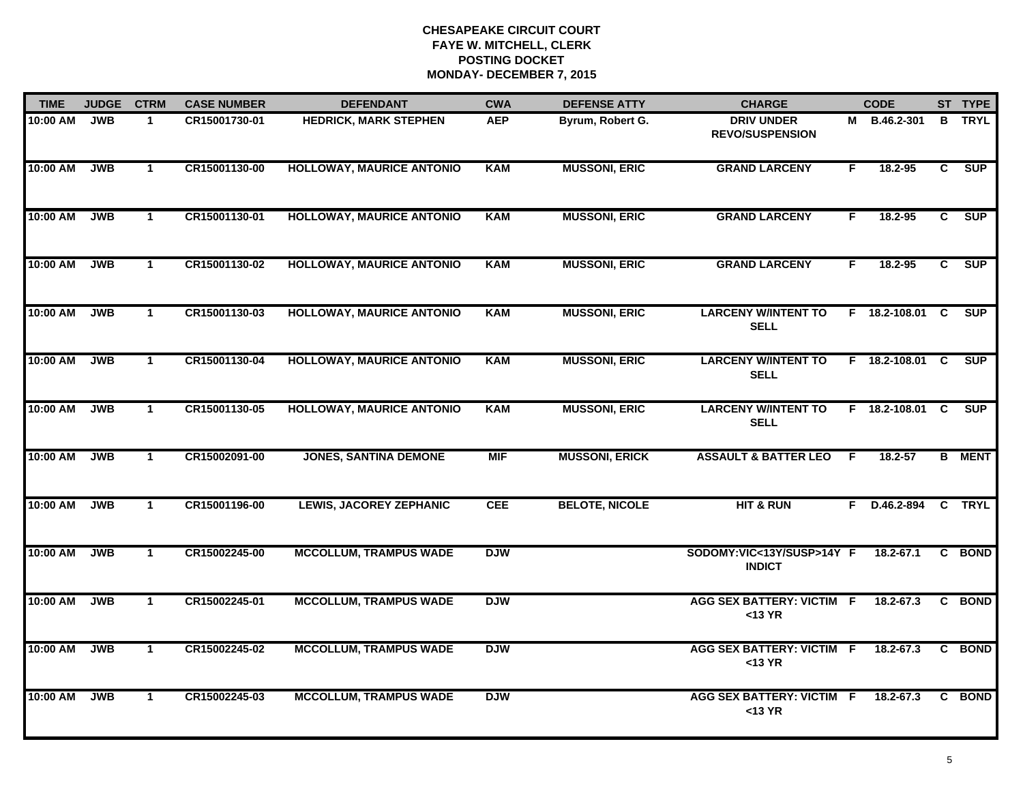| <b>TIME</b> | <b>JUDGE</b> | <b>CTRM</b>  | <b>CASE NUMBER</b> | <b>DEFENDANT</b>                 | <b>CWA</b> | <b>DEFENSE ATTY</b>   | <b>CHARGE</b>                                 |    | <b>CODE</b>     |                | ST TYPE       |
|-------------|--------------|--------------|--------------------|----------------------------------|------------|-----------------------|-----------------------------------------------|----|-----------------|----------------|---------------|
| $10:00$ AM  | <b>JWB</b>   | $\mathbf{1}$ | CR15001730-01      | <b>HEDRICK, MARK STEPHEN</b>     | <b>AEP</b> | Byrum, Robert G.      | <b>DRIV UNDER</b><br><b>REVO/SUSPENSION</b>   |    | M B.46.2-301    | B              | <b>TRYL</b>   |
| 10:00 AM    | <b>JWB</b>   | $\mathbf{1}$ | CR15001130-00      | <b>HOLLOWAY, MAURICE ANTONIO</b> | <b>KAM</b> | <b>MUSSONI, ERIC</b>  | <b>GRAND LARCENY</b>                          | F  | 18.2-95         | C              | <b>SUP</b>    |
| 10:00 AM    | <b>JWB</b>   | $\mathbf{1}$ | CR15001130-01      | <b>HOLLOWAY, MAURICE ANTONIO</b> | <b>KAM</b> | <b>MUSSONI, ERIC</b>  | <b>GRAND LARCENY</b>                          | F. | 18.2-95         | $\overline{c}$ | <b>SUP</b>    |
| 10:00 AM    | <b>JWB</b>   | $\mathbf{1}$ | CR15001130-02      | <b>HOLLOWAY, MAURICE ANTONIO</b> | <b>KAM</b> | <b>MUSSONI, ERIC</b>  | <b>GRAND LARCENY</b>                          | F. | $18.2 - 95$     | C.             | <b>SUP</b>    |
| 10:00 AM    | <b>JWB</b>   | $\mathbf{1}$ | CR15001130-03      | <b>HOLLOWAY, MAURICE ANTONIO</b> | <b>KAM</b> | <b>MUSSONI, ERIC</b>  | <b>LARCENY W/INTENT TO</b><br><b>SELL</b>     |    | F 18.2-108.01   | C              | <b>SUP</b>    |
| 10:00 AM    | <b>JWB</b>   | $\mathbf{1}$ | CR15001130-04      | <b>HOLLOWAY, MAURICE ANTONIO</b> | <b>KAM</b> | <b>MUSSONI, ERIC</b>  | <b>LARCENY W/INTENT TO</b><br><b>SELL</b>     |    | F 18.2-108.01 C |                | SUP           |
| 10:00 AM    | <b>JWB</b>   | $\mathbf{1}$ | CR15001130-05      | <b>HOLLOWAY, MAURICE ANTONIO</b> | <b>KAM</b> | <b>MUSSONI, ERIC</b>  | <b>LARCENY W/INTENT TO</b><br><b>SELL</b>     |    | F 18.2-108.01 C |                | SUP           |
| 10:00 AM    | <b>JWB</b>   | $\mathbf{1}$ | CR15002091-00      | <b>JONES, SANTINA DEMONE</b>     | <b>MIF</b> | <b>MUSSONI, ERICK</b> | <b>ASSAULT &amp; BATTER LEO</b>               | -F | $18.2 - 57$     |                | <b>B</b> MENT |
| 10:00 AM    | <b>JWB</b>   | $\mathbf 1$  | CR15001196-00      | <b>LEWIS, JACOREY ZEPHANIC</b>   | <b>CEE</b> | <b>BELOTE, NICOLE</b> | <b>HIT &amp; RUN</b>                          | F. | D.46.2-894      |                | C TRYL        |
| 10:00 AM    | <b>JWB</b>   | $\mathbf{1}$ | CR15002245-00      | <b>MCCOLLUM, TRAMPUS WADE</b>    | <b>DJW</b> |                       | SODOMY:VIC<13Y/SUSP>14Y F<br><b>INDICT</b>    |    | 18.2-67.1       |                | C BOND        |
| 10:00 AM    | <b>JWB</b>   | $\mathbf{1}$ | CR15002245-01      | <b>MCCOLLUM, TRAMPUS WADE</b>    | <b>DJW</b> |                       | <b>AGG SEX BATTERY: VICTIM F</b><br>$<$ 13 YR |    | 18.2-67.3       | C              | <b>BOND</b>   |
| 10:00 AM    | <b>JWB</b>   | $\mathbf{1}$ | CR15002245-02      | <b>MCCOLLUM, TRAMPUS WADE</b>    | <b>DJW</b> |                       | <b>AGG SEX BATTERY: VICTIM F</b><br>$<$ 13 YR |    | 18.2-67.3       |                | C BOND        |
| 10:00 AM    | <b>JWB</b>   | $\mathbf{1}$ | CR15002245-03      | <b>MCCOLLUM, TRAMPUS WADE</b>    | <b>DJW</b> |                       | <b>AGG SEX BATTERY: VICTIM F</b><br>$<$ 13 YR |    | 18.2-67.3       | C              | <b>BOND</b>   |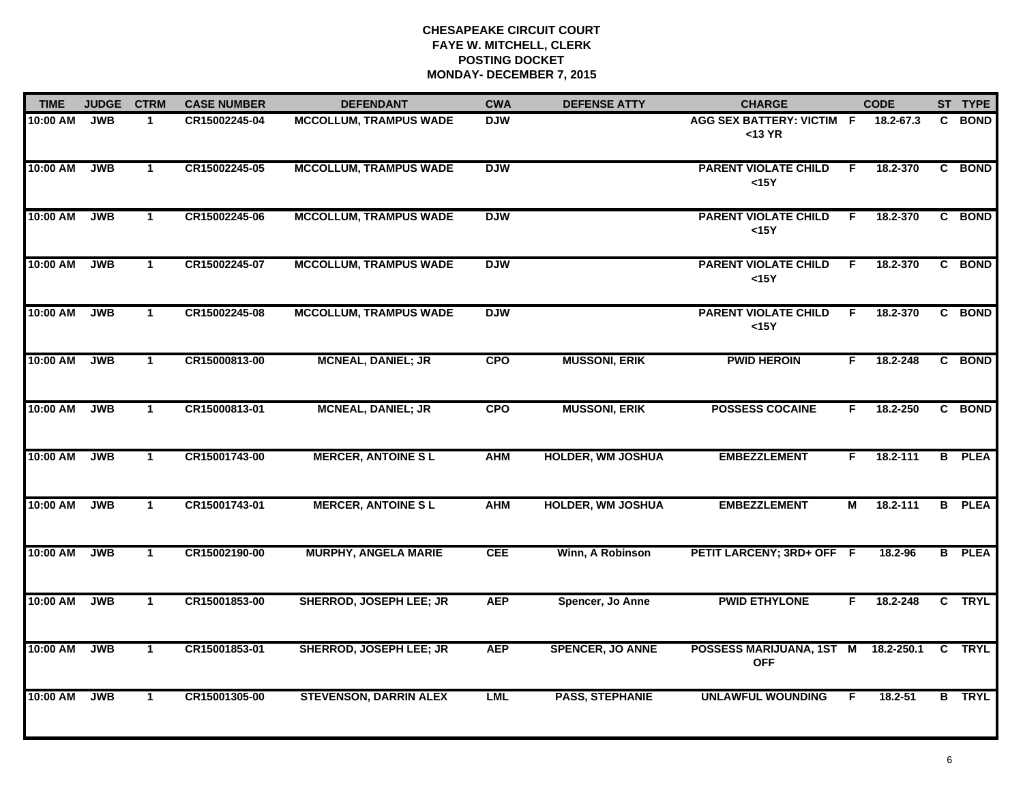| <b>TIME</b> | <b>JUDGE</b> | <b>CTRM</b>  | <b>CASE NUMBER</b> | <b>DEFENDANT</b>               | <b>CWA</b> | <b>DEFENSE ATTY</b>      | <b>CHARGE</b>                                     |    | <b>CODE</b> |    | ST TYPE       |
|-------------|--------------|--------------|--------------------|--------------------------------|------------|--------------------------|---------------------------------------------------|----|-------------|----|---------------|
| 10:00 AM    | <b>JWB</b>   | $\mathbf 1$  | CR15002245-04      | <b>MCCOLLUM, TRAMPUS WADE</b>  | <b>DJW</b> |                          | <b>AGG SEX BATTERY: VICTIM F</b><br>$<$ 13 YR     |    | 18.2-67.3   | C. | <b>BOND</b>   |
| 10:00 AM    | <b>JWB</b>   | $\mathbf{1}$ | CR15002245-05      | <b>MCCOLLUM, TRAMPUS WADE</b>  | <b>DJW</b> |                          | <b>PARENT VIOLATE CHILD</b><br>$15Y$              | F. | 18.2-370    |    | C BOND        |
| 10:00 AM    | <b>JWB</b>   | $\mathbf{1}$ | CR15002245-06      | <b>MCCOLLUM, TRAMPUS WADE</b>  | <b>DJW</b> |                          | <b>PARENT VIOLATE CHILD</b><br>$15Y$              | F. | 18.2-370    |    | C BOND        |
| 10:00 AM    | <b>JWB</b>   | $\mathbf 1$  | CR15002245-07      | <b>MCCOLLUM, TRAMPUS WADE</b>  | <b>DJW</b> |                          | <b>PARENT VIOLATE CHILD</b><br>$15Y$              | F. | 18.2-370    |    | C BOND        |
| 10:00 AM    | <b>JWB</b>   | $\mathbf{1}$ | CR15002245-08      | <b>MCCOLLUM, TRAMPUS WADE</b>  | <b>DJW</b> |                          | <b>PARENT VIOLATE CHILD</b><br>$15Y$              | F. | 18.2-370    |    | C BOND        |
| 10:00 AM    | JWB          | $\mathbf{1}$ | CR15000813-00      | <b>MCNEAL, DANIEL; JR</b>      | <b>CPO</b> | <b>MUSSONI, ERIK</b>     | <b>PWID HEROIN</b>                                | F. | 18.2-248    |    | C BOND        |
| 10:00 AM    | <b>JWB</b>   | $\mathbf{1}$ | CR15000813-01      | <b>MCNEAL, DANIEL; JR</b>      | <b>CPO</b> | <b>MUSSONI, ERIK</b>     | <b>POSSESS COCAINE</b>                            | F. | 18.2-250    |    | C BOND        |
| 10:00 AM    | <b>JWB</b>   | $\mathbf{1}$ | CR15001743-00      | <b>MERCER, ANTOINE SL</b>      | <b>AHM</b> | <b>HOLDER, WM JOSHUA</b> | <b>EMBEZZLEMENT</b>                               | F. | 18.2-111    |    | <b>B</b> PLEA |
| 10:00 AM    | <b>JWB</b>   | $\mathbf 1$  | CR15001743-01      | <b>MERCER, ANTOINE SL</b>      | <b>AHM</b> | <b>HOLDER, WM JOSHUA</b> | <b>EMBEZZLEMENT</b>                               | М  | 18.2-111    |    | <b>B</b> PLEA |
| 10:00 AM    | <b>JWB</b>   | $\mathbf{1}$ | CR15002190-00      | <b>MURPHY, ANGELA MARIE</b>    | <b>CEE</b> | Winn, A Robinson         | PETIT LARCENY; 3RD+ OFF F                         |    | 18.2-96     |    | <b>B</b> PLEA |
| 10:00 AM    | <b>JWB</b>   | $\mathbf{1}$ | CR15001853-00      | <b>SHERROD, JOSEPH LEE; JR</b> | <b>AEP</b> | Spencer, Jo Anne         | <b>PWID ETHYLONE</b>                              | F. | 18.2-248    |    | C TRYL        |
| 10:00 AM    | <b>JWB</b>   | $\mathbf{1}$ | CR15001853-01      | <b>SHERROD, JOSEPH LEE; JR</b> | <b>AEP</b> | <b>SPENCER, JO ANNE</b>  | POSSESS MARIJUANA, 1ST M 18.2-250.1<br><b>OFF</b> |    |             |    | C TRYL        |
| 10:00 AM    | <b>JWB</b>   | $\mathbf{1}$ | CR15001305-00      | <b>STEVENSON, DARRIN ALEX</b>  | <b>LML</b> | <b>PASS, STEPHANIE</b>   | <b>UNLAWFUL WOUNDING</b>                          | F. | 18.2-51     |    | <b>B</b> TRYL |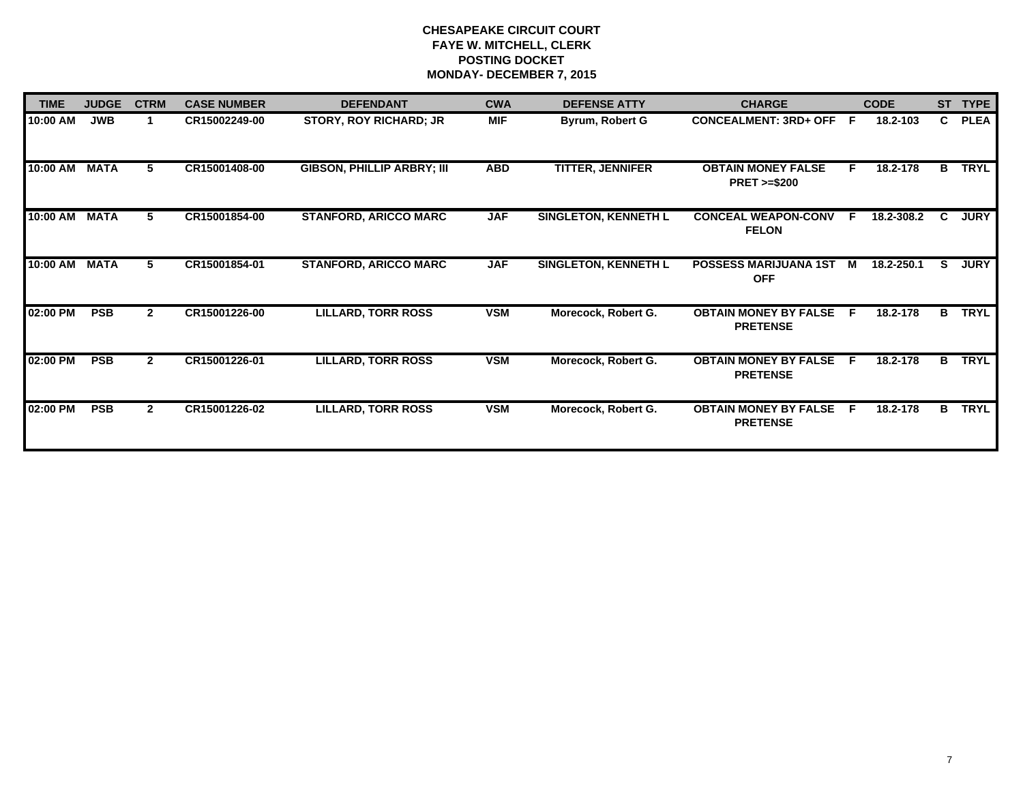| <b>TIME</b>   | <b>JUDGE</b> | <b>CTRM</b>  | <b>CASE NUMBER</b> | <b>DEFENDANT</b>                  | <b>CWA</b> | <b>DEFENSE ATTY</b>         | <b>CHARGE</b>                                       | <b>CODE</b>     | <b>ST</b> | <b>TYPE</b> |
|---------------|--------------|--------------|--------------------|-----------------------------------|------------|-----------------------------|-----------------------------------------------------|-----------------|-----------|-------------|
| 10:00 AM      | <b>JWB</b>   |              | CR15002249-00      | <b>STORY, ROY RICHARD; JR</b>     | <b>MIF</b> | Byrum, Robert G             | <b>CONCEALMENT: 3RD+ OFF</b>                        | - F<br>18.2-103 | C.        | <b>PLEA</b> |
| 10:00 AM MATA |              | 5.           | CR15001408-00      | <b>GIBSON, PHILLIP ARBRY; III</b> | <b>ABD</b> | <b>TITTER, JENNIFER</b>     | <b>OBTAIN MONEY FALSE</b><br><b>PRET &gt;=\$200</b> | 18.2-178<br>F.  | B         | <b>TRYL</b> |
| 10:00 AM      | MATA         | 5.           | CR15001854-00      | <b>STANFORD, ARICCO MARC</b>      | <b>JAF</b> | <b>SINGLETON, KENNETH L</b> | <b>CONCEAL WEAPON-CONV</b><br><b>FELON</b>          | 18.2-308.2<br>E | C.        | <b>JURY</b> |
| 10:00 AM      | <b>MATA</b>  | 5.           | CR15001854-01      | <b>STANFORD, ARICCO MARC</b>      | <b>JAF</b> | SINGLETON, KENNETH L        | POSSESS MARIJUANA 1ST<br><b>OFF</b>                 | 18.2-250.1<br>м | s         | <b>JURY</b> |
| 02:00 PM      | <b>PSB</b>   | $\mathbf{2}$ | CR15001226-00      | <b>LILLARD, TORR ROSS</b>         | <b>VSM</b> | Morecock, Robert G.         | <b>OBTAIN MONEY BY FALSE</b><br><b>PRETENSE</b>     | 18.2-178<br>-F  | в.        | <b>TRYL</b> |
| 02:00 PM      | <b>PSB</b>   | $\mathbf{2}$ | CR15001226-01      | <b>LILLARD, TORR ROSS</b>         | <b>VSM</b> | Morecock, Robert G.         | <b>OBTAIN MONEY BY FALSE</b><br><b>PRETENSE</b>     | 18.2-178<br>-F  | B         | <b>TRYL</b> |
| 02:00 PM      | <b>PSB</b>   | $\mathbf{2}$ | CR15001226-02      | <b>LILLARD, TORR ROSS</b>         | <b>VSM</b> | Morecock, Robert G.         | <b>OBTAIN MONEY BY FALSE</b><br><b>PRETENSE</b>     | 18.2-178<br>E   | B         | <b>TRYL</b> |